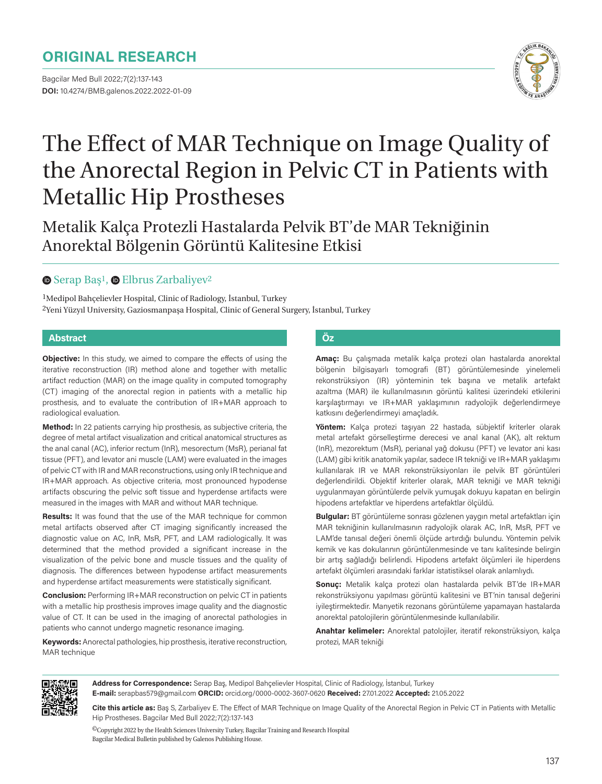# **ORIGINAL RESEARCH**

Bagcilar Med Bull 2022;7(2):137-143 **DOI:** 10.4274/BMB.galenos.2022.2022-01-09



# The Effect of MAR Technique on Image Quality of the Anorectal Region in Pelvic CT in Patients with Metallic Hip Prostheses

Metalik Kalça Protezli Hastalarda Pelvik BT'de MAR Tekniğinin Anorektal Bölgenin Görüntü Kalitesine Etkisi

#### **■Serap Baş1, ● Elbrus Zarbaliyev2**

1Medipol Bahçelievler Hospital, Clinic of Radiology, İstanbul, Turkey 2Yeni Yüzyıl University, Gaziosmanpaşa Hospital, Clinic of General Surgery, İstanbul, Turkey

#### **Abstract Öz**

**Objective:** In this study, we aimed to compare the effects of using the iterative reconstruction (IR) method alone and together with metallic artifact reduction (MAR) on the image quality in computed tomography (CT) imaging of the anorectal region in patients with a metallic hip prosthesis, and to evaluate the contribution of IR+MAR approach to radiological evaluation.

**Method:** In 22 patients carrying hip prosthesis, as subjective criteria, the degree of metal artifact visualization and critical anatomical structures as the anal canal (AC), inferior rectum (InR), mesorectum (MsR), perianal fat tissue (PFT), and levator ani muscle (LAM) were evaluated in the images of pelvic CT with IR and MAR reconstructions, using only IR technique and IR+MAR approach. As objective criteria, most pronounced hypodense artifacts obscuring the pelvic soft tissue and hyperdense artifacts were measured in the images with MAR and without MAR technique.

**Results:** It was found that the use of the MAR technique for common metal artifacts observed after CT imaging significantly increased the diagnostic value on AC, InR, MsR, PFT, and LAM radiologically. It was determined that the method provided a significant increase in the visualization of the pelvic bone and muscle tissues and the quality of diagnosis. The differences between hypodense artifact measurements and hyperdense artifact measurements were statistically significant.

**Conclusion:** Performing IR+MAR reconstruction on pelvic CT in patients with a metallic hip prosthesis improves image quality and the diagnostic value of CT. It can be used in the imaging of anorectal pathologies in patients who cannot undergo magnetic resonance imaging.

**Keywords:** Anorectal pathologies, hip prosthesis, iterative reconstruction, MAR technique

**Amaç:** Bu çalışmada metalik kalça protezi olan hastalarda anorektal bölgenin bilgisayarlı tomografi (BT) görüntülemesinde yinelemeli rekonstrüksiyon (IR) yönteminin tek başına ve metalik artefakt azaltma (MAR) ile kullanılmasının görüntü kalitesi üzerindeki etkilerini karşılaştırmayı ve IR+MAR yaklaşımının radyolojik değerlendirmeye katkısını değerlendirmeyi amaçladık.

**Yöntem:** Kalça protezi taşıyan 22 hastada, sübjektif kriterler olarak metal artefakt görselleştirme derecesi ve anal kanal (AK), alt rektum (InR), mezorektum (MsR), perianal yağ dokusu (PFT) ve levator ani kası (LAM) gibi kritik anatomik yapılar, sadece IR tekniği ve IR+MAR yaklaşımı kullanılarak IR ve MAR rekonstrüksiyonları ile pelvik BT görüntüleri değerlendirildi. Objektif kriterler olarak, MAR tekniği ve MAR tekniği uygulanmayan görüntülerde pelvik yumuşak dokuyu kapatan en belirgin hipodens artefaktlar ve hiperdens artefaktlar ölçüldü.

**Bulgular:** BT görüntüleme sonrası gözlenen yaygın metal artefaktları için MAR tekniğinin kullanılmasının radyolojik olarak AC, InR, MsR, PFT ve LAM'de tanısal değeri önemli ölçüde artırdığı bulundu. Yöntemin pelvik kemik ve kas dokularının görüntülenmesinde ve tanı kalitesinde belirgin bir artış sağladığı belirlendi. Hipodens artefakt ölçümleri ile hiperdens artefakt ölçümleri arasındaki farklar istatistiksel olarak anlamlıydı.

**Sonuç:** Metalik kalça protezi olan hastalarda pelvik BT'de IR+MAR rekonstrüksiyonu yapılması görüntü kalitesini ve BT'nin tanısal değerini iyileştirmektedir. Manyetik rezonans görüntüleme yapamayan hastalarda anorektal patolojilerin görüntülenmesinde kullanılabilir.

**Anahtar kelimeler:** Anorektal patolojiler, iteratif rekonstrüksiyon, kalça protezi, MAR tekniği



**Address for Correspondence:** Serap Baş, Medipol Bahçelievler Hospital, Clinic of Radiology, İstanbul, Turkey **E-mail:** serapbas579@gmail.com **ORCID:** orcid.org/0000-0002-3607-0620 **Received:** 27.01.2022 **Accepted:** 21.05.2022

**Cite this article as:** Baş S, Zarbaliyev E. The Effect of MAR Technique on Image Quality of the Anorectal Region in Pelvic CT in Patients with Metallic Hip Prostheses. Bagcilar Med Bull 2022;7(2):137-143

 ${}^{{\textcircled{\tiny 1}}}$ Copyright 2022 by the Health Sciences University Turkey, Bagcilar Training and Research Hospital Bagcilar Medical Bulletin published by Galenos Publishing House.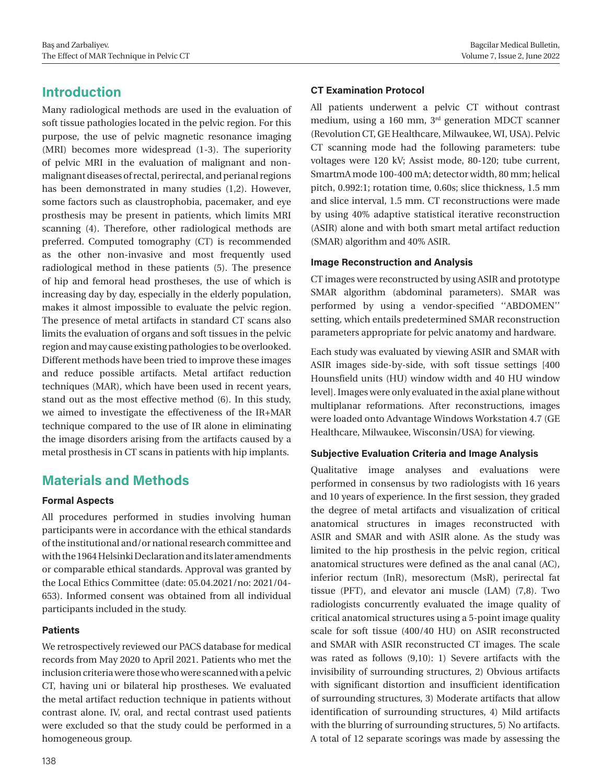# **Introduction**

Many radiological methods are used in the evaluation of soft tissue pathologies located in the pelvic region. For this purpose, the use of pelvic magnetic resonance imaging (MRI) becomes more widespread (1-3). The superiority of pelvic MRI in the evaluation of malignant and nonmalignant diseases of rectal, perirectal, and perianal regions has been demonstrated in many studies (1,2). However, some factors such as claustrophobia, pacemaker, and eye prosthesis may be present in patients, which limits MRI scanning (4). Therefore, other radiological methods are preferred. Computed tomography (CT) is recommended as the other non-invasive and most frequently used radiological method in these patients (5). The presence of hip and femoral head prostheses, the use of which is increasing day by day, especially in the elderly population, makes it almost impossible to evaluate the pelvic region. The presence of metal artifacts in standard CT scans also limits the evaluation of organs and soft tissues in the pelvic region and may cause existing pathologies to be overlooked. Different methods have been tried to improve these images and reduce possible artifacts. Metal artifact reduction techniques (MAR), which have been used in recent years, stand out as the most effective method (6). In this study, we aimed to investigate the effectiveness of the IR+MAR technique compared to the use of IR alone in eliminating the image disorders arising from the artifacts caused by a metal prosthesis in CT scans in patients with hip implants.

# **Materials and Methods**

#### **Formal Aspects**

All procedures performed in studies involving human participants were in accordance with the ethical standards of the institutional and/or national research committee and with the 1964 Helsinki Declaration and its later amendments or comparable ethical standards. Approval was granted by the Local Ethics Committee (date: 05.04.2021/no: 2021/04- 653). Informed consent was obtained from all individual participants included in the study.

#### **Patients**

We retrospectively reviewed our PACS database for medical records from May 2020 to April 2021. Patients who met the inclusion criteria were those who were scanned with a pelvic CT, having uni or bilateral hip prostheses. We evaluated the metal artifact reduction technique in patients without contrast alone. IV, oral, and rectal contrast used patients were excluded so that the study could be performed in a homogeneous group.

#### **CT Examination Protocol**

All patients underwent a pelvic CT without contrast medium, using a 160 mm, 3rd generation MDCT scanner (Revolution CT, GE Healthcare, Milwaukee, WI, USA). Pelvic CT scanning mode had the following parameters: tube voltages were 120 kV; Assist mode, 80-120; tube current, SmartmA mode 100-400 mA; detector width, 80 mm; helical pitch, 0.992:1; rotation time, 0.60s; slice thickness, 1.5 mm and slice interval, 1.5 mm. CT reconstructions were made by using 40% adaptive statistical iterative reconstruction (ASIR) alone and with both smart metal artifact reduction (SMAR) algorithm and 40% ASIR.

#### **Image Reconstruction and Analysis**

CT images were reconstructed by using ASIR and prototype SMAR algorithm (abdominal parameters). SMAR was performed by using a vendor-specified ''ABDOMEN'' setting, which entails predetermined SMAR reconstruction parameters appropriate for pelvic anatomy and hardware.

Each study was evaluated by viewing ASIR and SMAR with ASIR images side-by-side, with soft tissue settings [400 Hounsfield units (HU) window width and 40 HU window level]. Images were only evaluated in the axial plane without multiplanar reformations. After reconstructions, images were loaded onto Advantage Windows Workstation 4.7 (GE Healthcare, Milwaukee, Wisconsin/USA) for viewing.

#### **Subjective Evaluation Criteria and Image Analysis**

Qualitative image analyses and evaluations were performed in consensus by two radiologists with 16 years and 10 years of experience. In the first session, they graded the degree of metal artifacts and visualization of critical anatomical structures in images reconstructed with ASIR and SMAR and with ASIR alone. As the study was limited to the hip prosthesis in the pelvic region, critical anatomical structures were defined as the anal canal (AC), inferior rectum (InR), mesorectum (MsR), perirectal fat tissue (PFT), and elevator ani muscle (LAM) (7,8). Two radiologists concurrently evaluated the image quality of critical anatomical structures using a 5-point image quality scale for soft tissue (400/40 HU) on ASIR reconstructed and SMAR with ASIR reconstructed CT images. The scale was rated as follows (9,10): 1) Severe artifacts with the invisibility of surrounding structures, 2) Obvious artifacts with significant distortion and insufficient identification of surrounding structures, 3) Moderate artifacts that allow identification of surrounding structures, 4) Mild artifacts with the blurring of surrounding structures, 5) No artifacts. A total of 12 separate scorings was made by assessing the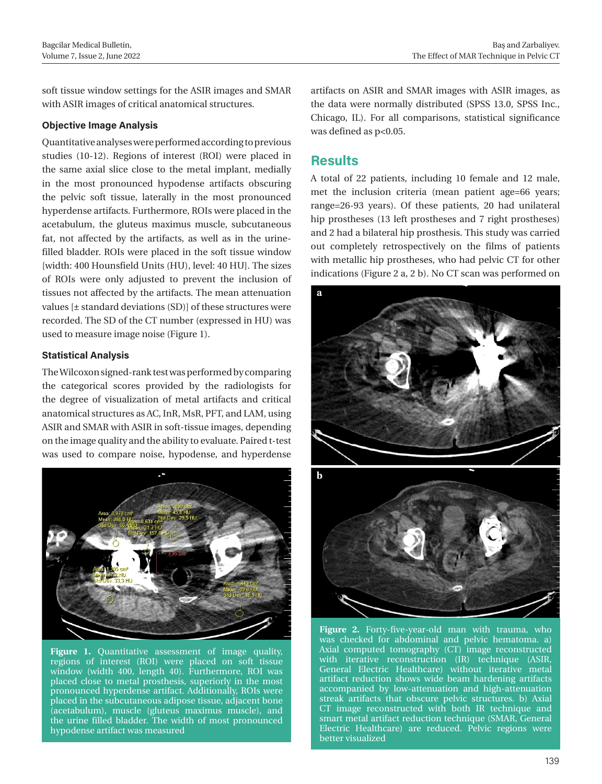soft tissue window settings for the ASIR images and SMAR with ASIR images of critical anatomical structures.

#### **Objective Image Analysis**

Quantitative analyses were performed according to previous studies (10-12). Regions of interest (ROI) were placed in the same axial slice close to the metal implant, medially in the most pronounced hypodense artifacts obscuring the pelvic soft tissue, laterally in the most pronounced hyperdense artifacts. Furthermore, ROIs were placed in the acetabulum, the gluteus maximus muscle, subcutaneous fat, not affected by the artifacts, as well as in the urinefilled bladder. ROIs were placed in the soft tissue window [width: 400 Hounsfield Units (HU), level: 40 HU]. The sizes of ROIs were only adjusted to prevent the inclusion of tissues not affected by the artifacts. The mean attenuation values [± standard deviations (SD)] of these structures were recorded. The SD of the CT number (expressed in HU) was used to measure image noise (Figure 1).

#### **Statistical Analysis**

The Wilcoxon signed-rank test was performed by comparing the categorical scores provided by the radiologists for the degree of visualization of metal artifacts and critical anatomical structures as AC, InR, MsR, PFT, and LAM, using ASIR and SMAR with ASIR in soft-tissue images, depending on the image quality and the ability to evaluate. Paired t-test was used to compare noise, hypodense, and hyperdense



Figure 1. Quantitative assessment of image quality, regions of interest (ROI) were placed on soft tissue window (width 400, length 40). Furthermore, ROI was placed close to metal prosthesis, superiorly in the most pronounced hyperdense artifact. Additionally, ROIs were placed in the subcutaneous adipose tissue, adjacent bone (acetabulum), muscle (gluteus maximus muscle), and the urine filled bladder. The width of most pronounced hypodense artifact was measured

artifacts on ASIR and SMAR images with ASIR images, as the data were normally distributed (SPSS 13.0, SPSS Inc., Chicago, IL). For all comparisons, statistical significance was defined as  $p<0.05$ .

### **Results**

A total of 22 patients, including 10 female and 12 male, met the inclusion criteria (mean patient age=66 years; range=26-93 years). Of these patients, 20 had unilateral hip prostheses (13 left prostheses and 7 right prostheses) and 2 had a bilateral hip prosthesis. This study was carried out completely retrospectively on the films of patients with metallic hip prostheses, who had pelvic CT for other indications (Figure 2 a, 2 b). No CT scan was performed on



**Figure 2.** Forty-five-year-old man with trauma, who was checked for abdominal and pelvic hematoma. a) Axial computed tomography (CT) image reconstructed with iterative reconstruction (IR) technique (ASIR, General Electric Healthcare) without iterative metal artifact reduction shows wide beam hardening artifacts accompanied by low-attenuation and high-attenuation streak artifacts that obscure pelvic structures. b) Axial CT image reconstructed with both IR technique and smart metal artifact reduction technique (SMAR, General Electric Healthcare) are reduced. Pelvic regions were better visualized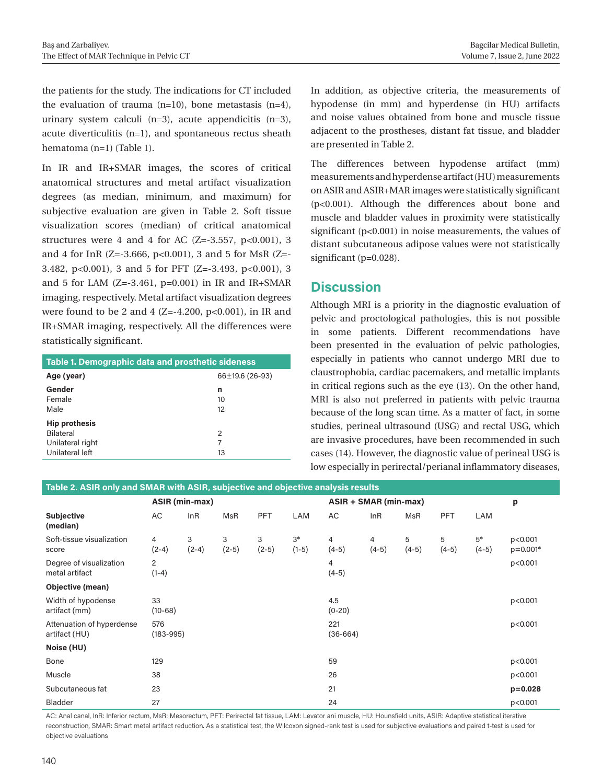the patients for the study. The indications for CT included the evaluation of trauma  $(n=10)$ , bone metastasis  $(n=4)$ , urinary system calculi  $(n=3)$ , acute appendicitis  $(n=3)$ , acute diverticulitis (n=1), and spontaneous rectus sheath hematoma (n=1) (Table 1).

In IR and IR+SMAR images, the scores of critical anatomical structures and metal artifact visualization degrees (as median, minimum, and maximum) for subjective evaluation are given in Table 2. Soft tissue visualization scores (median) of critical anatomical structures were 4 and 4 for AC  $(Z=-3.557, p<0.001)$ , 3 and 4 for InR (Z=-3.666, p<0.001), 3 and 5 for MsR (Z=- 3.482, p<0.001), 3 and 5 for PFT (Z=-3.493, p<0.001), 3 and 5 for LAM  $(Z=-3.461, p=0.001)$  in IR and IR+SMAR imaging, respectively. Metal artifact visualization degrees were found to be 2 and 4 (Z=-4.200, p<0.001), in IR and IR+SMAR imaging, respectively. All the differences were statistically significant.

| Table 1. Demographic data and prosthetic sideness |                 |  |  |  |  |  |  |  |
|---------------------------------------------------|-----------------|--|--|--|--|--|--|--|
| Age (year)                                        | 66±19.6 (26-93) |  |  |  |  |  |  |  |
| Gender                                            | n               |  |  |  |  |  |  |  |
| Female                                            | 10              |  |  |  |  |  |  |  |
| Male                                              | 12              |  |  |  |  |  |  |  |
| <b>Hip prothesis</b>                              |                 |  |  |  |  |  |  |  |
| Bilateral                                         | 2               |  |  |  |  |  |  |  |
| Unilateral right                                  | 7               |  |  |  |  |  |  |  |
| Unilateral left                                   | 13              |  |  |  |  |  |  |  |
|                                                   |                 |  |  |  |  |  |  |  |

In addition, as objective criteria, the measurements of hypodense (in mm) and hyperdense (in HU) artifacts and noise values obtained from bone and muscle tissue adjacent to the prostheses, distant fat tissue, and bladder are presented in Table 2.

The differences between hypodense artifact (mm) measurements and hyperdense artifact (HU) measurements on ASIR and ASIR+MAR images were statistically significant (p<0.001). Although the differences about bone and muscle and bladder values in proximity were statistically significant (p<0.001) in noise measurements, the values of distant subcutaneous adipose values were not statistically significant (p=0.028).

# **Discussion**

Although MRI is a priority in the diagnostic evaluation of pelvic and proctological pathologies, this is not possible in some patients. Different recommendations have been presented in the evaluation of pelvic pathologies, especially in patients who cannot undergo MRI due to claustrophobia, cardiac pacemakers, and metallic implants in critical regions such as the eye (13). On the other hand, MRI is also not preferred in patients with pelvic trauma because of the long scan time. As a matter of fact, in some studies, perineal ultrasound (USG) and rectal USG, which are invasive procedures, have been recommended in such cases (14). However, the diagnostic value of perineal USG is low especially in perirectal/perianal inflammatory diseases,

| Table 2. ASIR only and SMAR with ASIR, subjective and objective analysis results |                           |              |              |              |                 |                           |              |              |              |                 |                         |
|----------------------------------------------------------------------------------|---------------------------|--------------|--------------|--------------|-----------------|---------------------------|--------------|--------------|--------------|-----------------|-------------------------|
|                                                                                  | ASIR (min-max)            |              |              |              |                 | ASIR + SMAR (min-max)     |              |              |              |                 | p                       |
| <b>Subjective</b><br>(median)                                                    | AC                        | InR          | MsR          | <b>PFT</b>   | LAM             | AC                        | InR          | MsR          | <b>PFT</b>   | LAM             |                         |
| Soft-tissue visualization<br>score                                               | 4<br>$(2-4)$              | 3<br>$(2-4)$ | 3<br>$(2-5)$ | 3<br>$(2-5)$ | $3*$<br>$(1-5)$ | $\overline{4}$<br>$(4-5)$ | 4<br>$(4-5)$ | 5<br>$(4-5)$ | 5<br>$(4-5)$ | $5*$<br>$(4-5)$ | p<0.001<br>$p = 0.001*$ |
| Degree of visualization<br>metal artifact                                        | $\overline{2}$<br>$(1-4)$ |              |              |              |                 | 4<br>$(4-5)$              |              |              |              |                 | p<0.001                 |
| Objective (mean)                                                                 |                           |              |              |              |                 |                           |              |              |              |                 |                         |
| Width of hypodense<br>artifact (mm)                                              | 33<br>$(10-68)$           |              |              |              |                 | 4.5<br>$(0-20)$           |              |              |              |                 | p<0.001                 |
| Attenuation of hyperdense<br>artifact (HU)                                       | 576<br>$(183 - 995)$      |              |              |              |                 | 221<br>$(36-664)$         |              |              |              |                 | p<0.001                 |
| Noise (HU)                                                                       |                           |              |              |              |                 |                           |              |              |              |                 |                         |
| Bone                                                                             | 129                       |              |              |              |                 | 59                        |              |              |              |                 | p<0.001                 |
| Muscle                                                                           | 38                        |              |              |              |                 | 26                        |              |              |              |                 | p<0.001                 |
| Subcutaneous fat                                                                 | 23                        |              |              |              |                 | 21                        |              |              |              |                 | $p = 0.028$             |
| <b>Bladder</b>                                                                   | 27                        |              |              |              |                 | 24                        |              |              |              |                 | p<0.001                 |

AC: Anal canal, InR: Inferior rectum, MsR: Mesorectum, PFT: Perirectal fat tissue, LAM: Levator ani muscle, HU: Hounsfield units, ASIR: Adaptive statistical iterative reconstruction, SMAR: Smart metal artifact reduction. As a statistical test, the Wilcoxon signed-rank test is used for subjective evaluations and paired t-test is used for objective evaluations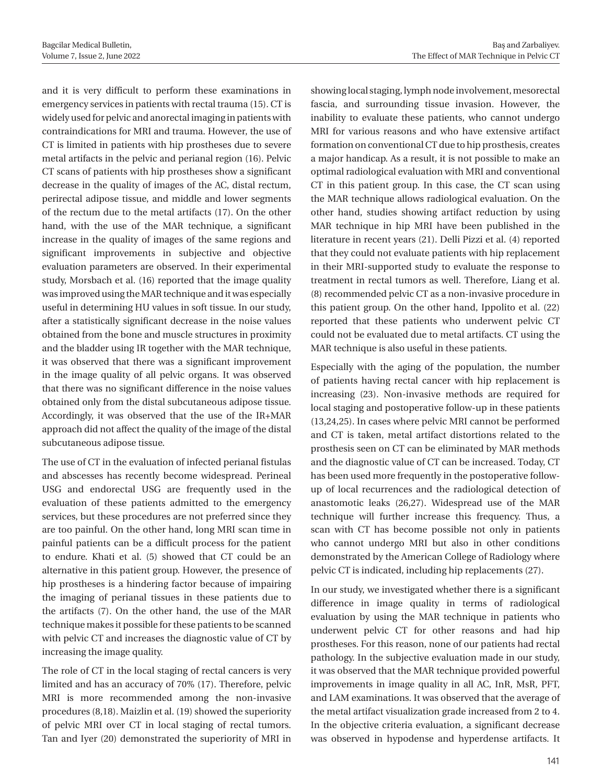and it is very difficult to perform these examinations in emergency services in patients with rectal trauma (15). CT is widely used for pelvic and anorectal imaging in patients with contraindications for MRI and trauma. However, the use of CT is limited in patients with hip prostheses due to severe metal artifacts in the pelvic and perianal region (16). Pelvic CT scans of patients with hip prostheses show a significant decrease in the quality of images of the AC, distal rectum, perirectal adipose tissue, and middle and lower segments of the rectum due to the metal artifacts (17). On the other hand, with the use of the MAR technique, a significant increase in the quality of images of the same regions and significant improvements in subjective and objective evaluation parameters are observed. In their experimental study, Morsbach et al. (16) reported that the image quality was improved using the MAR technique and it was especially useful in determining HU values in soft tissue. In our study, after a statistically significant decrease in the noise values obtained from the bone and muscle structures in proximity and the bladder using IR together with the MAR technique, it was observed that there was a significant improvement in the image quality of all pelvic organs. It was observed that there was no significant difference in the noise values obtained only from the distal subcutaneous adipose tissue. Accordingly, it was observed that the use of the IR+MAR approach did not affect the quality of the image of the distal subcutaneous adipose tissue.

The use of CT in the evaluation of infected perianal fistulas and abscesses has recently become widespread. Perineal USG and endorectal USG are frequently used in the evaluation of these patients admitted to the emergency services, but these procedures are not preferred since they are too painful. On the other hand, long MRI scan time in painful patients can be a difficult process for the patient to endure. Khati et al. (5) showed that CT could be an alternative in this patient group. However, the presence of hip prostheses is a hindering factor because of impairing the imaging of perianal tissues in these patients due to the artifacts (7). On the other hand, the use of the MAR technique makes it possible for these patients to be scanned with pelvic CT and increases the diagnostic value of CT by increasing the image quality.

The role of CT in the local staging of rectal cancers is very limited and has an accuracy of 70% (17). Therefore, pelvic MRI is more recommended among the non-invasive procedures (8,18). Maizlin et al. (19) showed the superiority of pelvic MRI over CT in local staging of rectal tumors. Tan and Iyer (20) demonstrated the superiority of MRI in showing local staging, lymph node involvement, mesorectal fascia, and surrounding tissue invasion. However, the inability to evaluate these patients, who cannot undergo MRI for various reasons and who have extensive artifact formation on conventional CT due to hip prosthesis, creates a major handicap. As a result, it is not possible to make an optimal radiological evaluation with MRI and conventional CT in this patient group. In this case, the CT scan using the MAR technique allows radiological evaluation. On the other hand, studies showing artifact reduction by using MAR technique in hip MRI have been published in the literature in recent years (21). Delli Pizzi et al. (4) reported that they could not evaluate patients with hip replacement in their MRI-supported study to evaluate the response to treatment in rectal tumors as well. Therefore, Liang et al. (8) recommended pelvic CT as a non-invasive procedure in this patient group. On the other hand, Ippolito et al. (22) reported that these patients who underwent pelvic CT could not be evaluated due to metal artifacts. CT using the MAR technique is also useful in these patients.

Especially with the aging of the population, the number of patients having rectal cancer with hip replacement is increasing (23). Non-invasive methods are required for local staging and postoperative follow-up in these patients (13,24,25). In cases where pelvic MRI cannot be performed and CT is taken, metal artifact distortions related to the prosthesis seen on CT can be eliminated by MAR methods and the diagnostic value of CT can be increased. Today, CT has been used more frequently in the postoperative followup of local recurrences and the radiological detection of anastomotic leaks (26,27). Widespread use of the MAR technique will further increase this frequency. Thus, a scan with CT has become possible not only in patients who cannot undergo MRI but also in other conditions demonstrated by the American College of Radiology where pelvic CT is indicated, including hip replacements (27).

In our study, we investigated whether there is a significant difference in image quality in terms of radiological evaluation by using the MAR technique in patients who underwent pelvic CT for other reasons and had hip prostheses. For this reason, none of our patients had rectal pathology. In the subjective evaluation made in our study, it was observed that the MAR technique provided powerful improvements in image quality in all AC, InR, MsR, PFT, and LAM examinations. It was observed that the average of the metal artifact visualization grade increased from 2 to 4. In the objective criteria evaluation, a significant decrease was observed in hypodense and hyperdense artifacts. It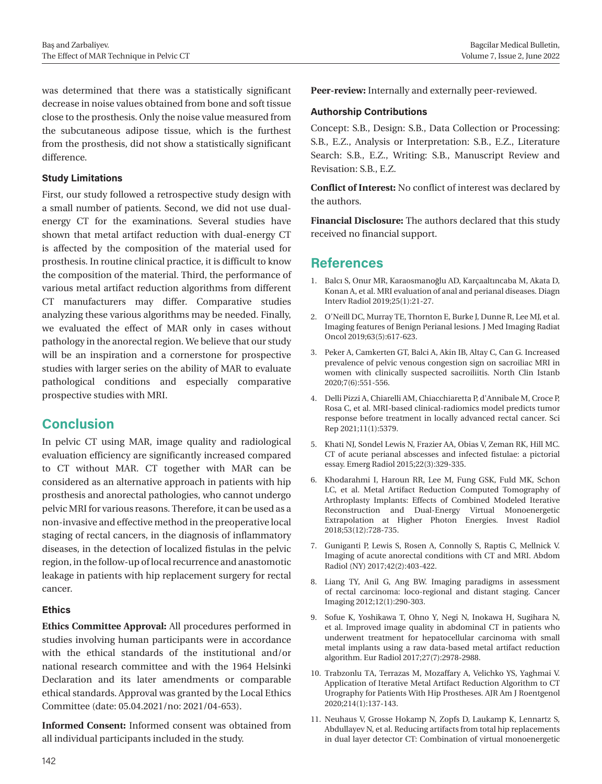was determined that there was a statistically significant decrease in noise values obtained from bone and soft tissue close to the prosthesis. Only the noise value measured from the subcutaneous adipose tissue, which is the furthest from the prosthesis, did not show a statistically significant difference.

#### **Study Limitations**

First, our study followed a retrospective study design with a small number of patients. Second, we did not use dualenergy CT for the examinations. Several studies have shown that metal artifact reduction with dual-energy CT is affected by the composition of the material used for prosthesis. In routine clinical practice, it is difficult to know the composition of the material. Third, the performance of various metal artifact reduction algorithms from different CT manufacturers may differ. Comparative studies analyzing these various algorithms may be needed. Finally, we evaluated the effect of MAR only in cases without pathology in the anorectal region. We believe that our study will be an inspiration and a cornerstone for prospective studies with larger series on the ability of MAR to evaluate pathological conditions and especially comparative prospective studies with MRI.

# **Conclusion**

In pelvic CT using MAR, image quality and radiological evaluation efficiency are significantly increased compared to CT without MAR. CT together with MAR can be considered as an alternative approach in patients with hip prosthesis and anorectal pathologies, who cannot undergo pelvic MRI for various reasons. Therefore, it can be used as a non-invasive and effective method in the preoperative local staging of rectal cancers, in the diagnosis of inflammatory diseases, in the detection of localized fistulas in the pelvic region, in the follow-up of local recurrence and anastomotic leakage in patients with hip replacement surgery for rectal cancer.

#### **Ethics**

**Ethics Committee Approval:** All procedures performed in studies involving human participants were in accordance with the ethical standards of the institutional and/or national research committee and with the 1964 Helsinki Declaration and its later amendments or comparable ethical standards. Approval was granted by the Local Ethics Committee (date: 05.04.2021/no: 2021/04-653).

**Informed Consent:** Informed consent was obtained from all individual participants included in the study.

**Peer-review:** Internally and externally peer-reviewed.

#### **Authorship Contributions**

Concept: S.B., Design: S.B., Data Collection or Processing: S.B., E.Z., Analysis or Interpretation: S.B., E.Z., Literature Search: S.B., E.Z., Writing: S.B., Manuscript Review and Revisation: S.B., E.Z.

**Conflict of Interest:** No conflict of interest was declared by the authors.

**Financial Disclosure:** The authors declared that this study received no financial support.

# **References**

- 1. Balcı S, Onur MR, Karaosmanoğlu AD, Karçaaltıncaba M, Akata D, Konan A, et al. MRI evaluation of anal and perianal diseases. Diagn Interv Radiol 2019;25(1):21-27.
- 2. O'Neill DC, Murray TE, Thornton E, Burke J, Dunne R, Lee MJ, et al. Imaging features of Benign Perianal lesions. J Med Imaging Radiat Oncol 2019;63(5):617-623.
- 3. Peker A, Camkerten GT, Balci A, Akin IB, Altay C, Can G. Increased prevalence of pelvic venous congestion sign on sacroiliac MRI in women with clinically suspected sacroiliitis. North Clin Istanb 2020;7(6):551-556.
- 4. Delli Pizzi A, Chiarelli AM, Chiacchiaretta P, d'Annibale M, Croce P, Rosa C, et al. MRI-based clinical-radiomics model predicts tumor response before treatment in locally advanced rectal cancer. Sci Rep 2021;11(1):5379.
- 5. Khati NJ, Sondel Lewis N, Frazier AA, Obias V, Zeman RK, Hill MC. CT of acute perianal abscesses and infected fistulae: a pictorial essay. Emerg Radiol 2015;22(3):329-335.
- 6. Khodarahmi I, Haroun RR, Lee M, Fung GSK, Fuld MK, Schon LC, et al. Metal Artifact Reduction Computed Tomography of Arthroplasty Implants: Effects of Combined Modeled Iterative Reconstruction and Dual-Energy Virtual Monoenergetic Extrapolation at Higher Photon Energies. Invest Radiol 2018;53(12):728-735.
- 7. Guniganti P, Lewis S, Rosen A, Connolly S, Raptis C, Mellnick V. Imaging of acute anorectal conditions with CT and MRI. Abdom Radiol (NY) 2017;42(2):403-422.
- 8. Liang TY, Anil G, Ang BW. Imaging paradigms in assessment of rectal carcinoma: loco-regional and distant staging. Cancer Imaging 2012;12(1):290-303.
- 9. Sofue K, Yoshikawa T, Ohno Y, Negi N, Inokawa H, Sugihara N, et al. Improved image quality in abdominal CT in patients who underwent treatment for hepatocellular carcinoma with small metal implants using a raw data-based metal artifact reduction algorithm. Eur Radiol 2017;27(7):2978-2988.
- 10. Trabzonlu TA, Terrazas M, Mozaffary A, Velichko YS, Yaghmai V. Application of Iterative Metal Artifact Reduction Algorithm to CT Urography for Patients With Hip Prostheses. AJR Am J Roentgenol 2020;214(1):137-143.
- 11. Neuhaus V, Grosse Hokamp N, Zopfs D, Laukamp K, Lennartz S, Abdullayev N, et al. Reducing artifacts from total hip replacements in dual layer detector CT: Combination of virtual monoenergetic